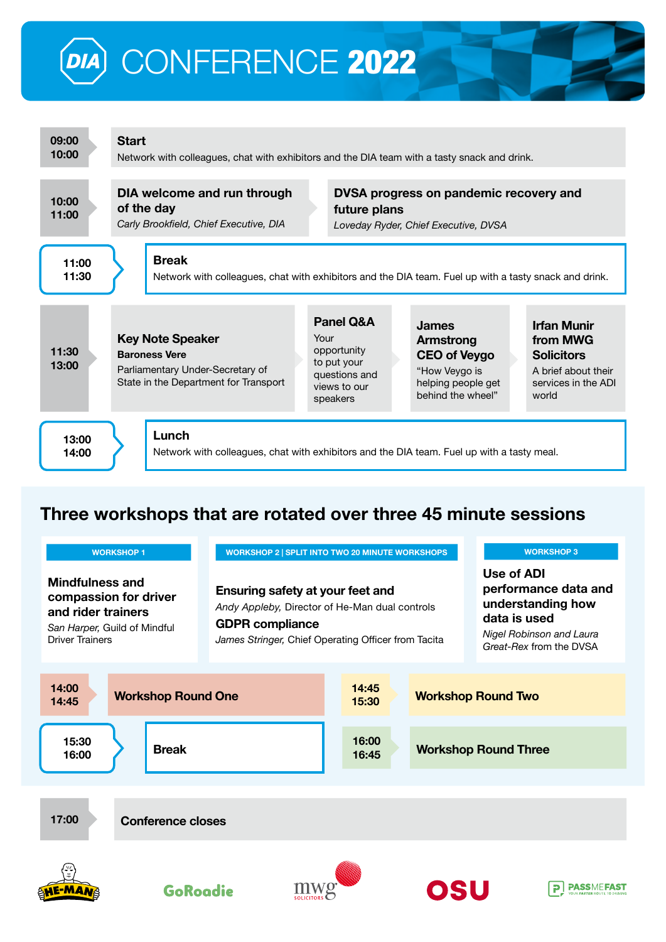



# **Three workshops that are rotated over three 45 minute sessions**